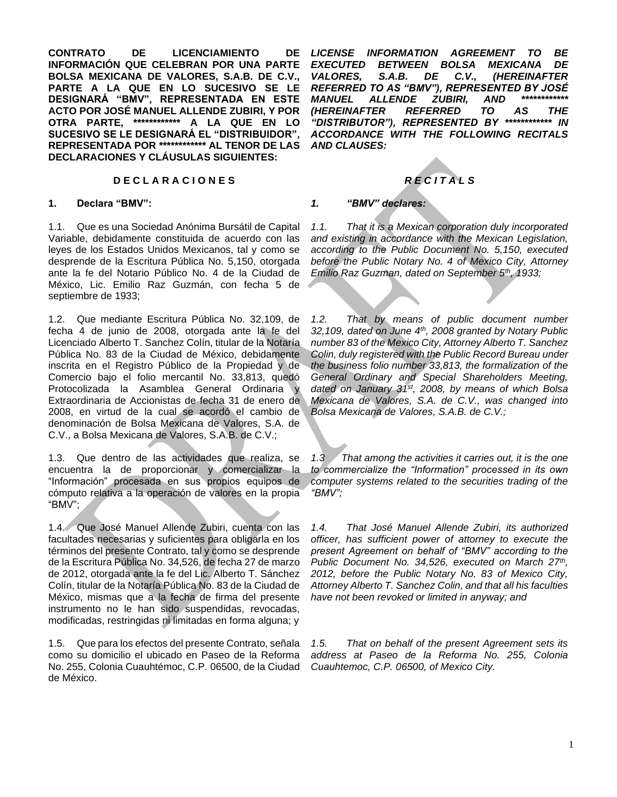**CONTRATO DE LICENCIAMIENTO DE INFORMACIÓN QUE CELEBRAN POR UNA PARTE BOLSA MEXICANA DE VALORES, S.A.B. DE C.V., PARTE A LA QUE EN LO SUCESIVO SE LE DESIGNARÁ "BMV", REPRESENTADA EN ESTE ACTO POR JOSÉ MANUEL ALLENDE ZUBIRI, Y POR OTRA PARTE, \*\*\*\*\*\*\*\*\*\*\*\* A LA QUE EN LO SUCESIVO SE LE DESIGNARÁ EL "DISTRIBUIDOR", REPRESENTADA POR \*\*\*\*\*\*\*\*\*\*\*\* AL TENOR DE LAS DECLARACIONES Y CLÁUSULAS SIGUIENTES:**

# **D E C L A R A C I O N E S** *R E C I T A L S*

## **1. Declara "BMV":**

1.1. Que es una Sociedad Anónima Bursátil de Capital Variable, debidamente constituida de acuerdo con las leyes de los Estados Unidos Mexicanos, tal y como se desprende de la Escritura Pública No. 5,150, otorgada ante la fe del Notario Público No. 4 de la Ciudad de México, Lic. Emilio Raz Guzmán, con fecha 5 de septiembre de 1933;

1.2. Que mediante Escritura Pública No. 32,109, de fecha 4 de junio de 2008, otorgada ante la fe del Licenciado Alberto T. Sanchez Colín, titular de la Notaría Pública No. 83 de la Ciudad de México, debidamente inscrita en el Registro Público de la Propiedad y de Comercio bajo el folio mercantil No. 33,813, quedó Protocolizada la Asamblea General Ordinaria y Extraordinaria de Accionistas de fecha 31 de enero de 2008, en virtud de la cual se acordó el cambio de denominación de Bolsa Mexicana de Valores, S.A. de C.V., a Bolsa Mexicana de Valores, S.A.B. de C.V.;

1.3. Que dentro de las actividades que realiza, se encuentra la de proporcionar y comercializar la "Información" procesada en sus propios equipos de cómputo relativa a la operación de valores en la propia "BMV";

1.4. Que José Manuel Allende Zubiri, cuenta con las facultades necesarias y suficientes para obligarla en los términos del presente Contrato, tal y como se desprende de la Escritura Pública No. 34,526, de fecha 27 de marzo de 2012, otorgada ante la fe del Lic. Alberto T. Sánchez Colín, titular de la Notaría Pública No. 83 de la Ciudad de México, mismas que a la fecha de firma del presente instrumento no le han sido suspendidas, revocadas, modificadas, restringidas ni limitadas en forma alguna; y

1.5. Que para los efectos del presente Contrato, señala como su domicilio el ubicado en Paseo de la Reforma No. 255, Colonia Cuauhtémoc, C.P. 06500, de la Ciudad de México.

*LICENSE INFORMATION AGREEMENT TO BE EXECUTED BETWEEN BOLSA MEXICANA DE VALORES, S.A.B. DE C.V., (HEREINAFTER REFERRED TO AS "BMV"), REPRESENTED BY JOSÉ MANUEL ALLENDE ZUBIRI, AND \*\*\*\*\*\*\*\*\*\*\*\* (HEREINAFTER REFERRED TO AS THE "DISTRIBUTOR"), REPRESENTED BY \*\*\*\*\*\*\*\*\*\*\*\* IN ACCORDANCE WITH THE FOLLOWING RECITALS AND CLAUSES:*

## *1. "BMV" declares:*

*1.1. That it is a Mexican corporation duly incorporated and existing in accordance with the Mexican Legislation, according to the Public Document No. 5,150, executed before the Public Notary No. 4 of Mexico City, Attorney Emilio Raz Guzman, dated on September 5th, 1933;* 

*1.2. That by means of public document number 32,109, dated on June 4th, 2008 granted by Notary Public number 83 of the Mexico City, Attorney Alberto T. Sanchez Colin, duly registered with the Public Record Bureau under the business folio number 33,813, the formalization of the General Ordinary and Special Shareholders Meeting, dated on January 31st, 2008, by means of which Bolsa Mexicana de Valores, S.A. de C.V., was changed into Bolsa Mexicana de Valores, S.A.B. de C.V.;*

*1.3 That among the activities it carries out, it is the one to commercialize the "Information" processed in its own computer systems related to the securities trading of the "BMV";*

*1.4. That José Manuel Allende Zubiri, its authorized officer, has sufficient power of attorney to execute the present Agreement on behalf of "BMV" according to the Public Document No. 34,526, executed on March 27<sup>th</sup>, 2012, before the Public Notary No. 83 of Mexico City, Attorney Alberto T. Sanchez Colin, and that all his faculties have not been revoked or limited in anyway; and* 

*1.5. That on behalf of the present Agreement sets its address at Paseo de la Reforma No. 255, Colonia Cuauhtemoc, C.P. 06500, of Mexico City.*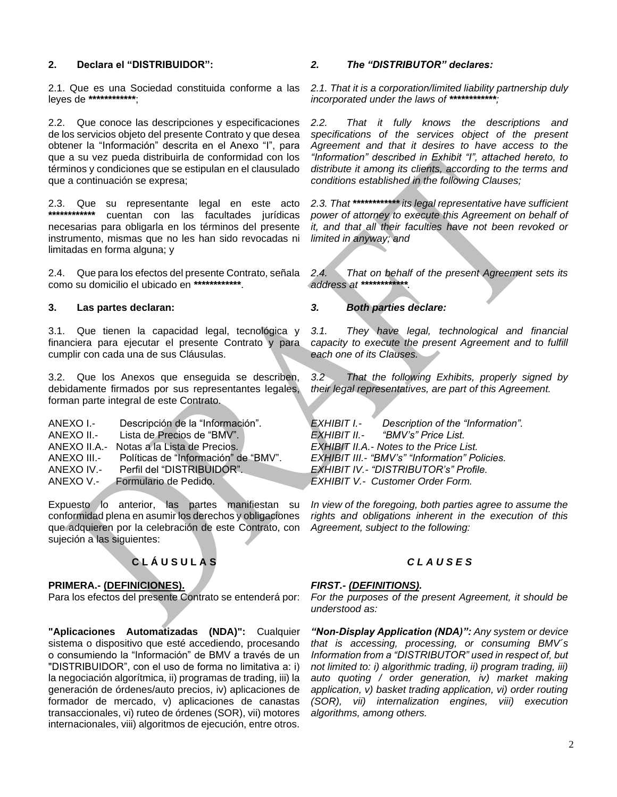# **2. Declara el "DISTRIBUIDOR":**

2.1. Que es una Sociedad constituida conforme a las leyes de **\*\*\*\*\*\*\*\*\*\*\*\***;

2.2. Que conoce las descripciones y especificaciones de los servicios objeto del presente Contrato y que desea obtener la "Información" descrita en el Anexo "I", para que a su vez pueda distribuirla de conformidad con los términos y condiciones que se estipulan en el clausulado que a continuación se expresa;

2.3. Que su representante legal en este acto **\*\*\*\*\*\*\*\*\*\*\*\*** cuentan con las facultades jurídicas necesarias para obligarla en los términos del presente instrumento, mismas que no les han sido revocadas ni limitadas en forma alguna; y

2.4. Que para los efectos del presente Contrato, señala como su domicilio el ubicado en **\*\*\*\*\*\*\*\*\*\*\*\***.

## **3. Las partes declaran:**

3.1. Que tienen la capacidad legal, tecnológica y financiera para ejecutar el presente Contrato y para cumplir con cada una de sus Cláusulas.

3.2. Que los Anexos que enseguida se describen, debidamente firmados por sus representantes legales, forman parte integral de este Contrato.

| ANEXO I.-   | Descripción de la "Información".          |
|-------------|-------------------------------------------|
| ANEXO II.-  | Lista de Precios de "BMV".                |
|             | ANEXO II.A.- Notas a la Lista de Precios. |
| ANEXO III.- | Políticas de "Información" de "BMV".      |
| ANEXO IV.-  | Perfil del "DISTRIBUIDOR".                |
| ANEXO V.-   | Formulario de Pedido.                     |
|             |                                           |

Expuesto lo anterior, las partes manifiestan su conformidad plena en asumir los derechos y obligaciones que adquieren por la celebración de este Contrato, con sujeción a las siguientes:

# **C L Á U S U L A S** *C L A U S E S*

# **PRIMERA.- (DEFINICIONES).**

Para los efectos del presente Contrato se entenderá por:

**"Aplicaciones Automatizadas (NDA)":** Cualquier sistema o dispositivo que esté accediendo, procesando o consumiendo la "Información" de BMV a través de un "DISTRIBUIDOR", con el uso de forma no limitativa a: i) la negociación algorítmica, ii) programas de trading, iii) la generación de órdenes/auto precios, iv) aplicaciones de formador de mercado, v) aplicaciones de canastas transaccionales, vi) ruteo de órdenes (SOR), vii) motores internacionales, viii) algoritmos de ejecución, entre otros.

## *2. The "DISTRIBUTOR" declares:*

*2.1. That it is a corporation/limited liability partnership duly incorporated under the laws of \*\*\*\*\*\*\*\*\*\*\*\*;*

*2.2. That it fully knows the descriptions and specifications of the services object of the present Agreement and that it desires to have access to the "Information" described in Exhibit "I", attached hereto, to distribute it among its clients, according to the terms and conditions established in the following Clauses;*

*2.3. That \*\*\*\*\*\*\*\*\*\*\*\* its legal representative have sufficient power of attorney to execute this Agreement on behalf of it, and that all their faculties have not been revoked or limited in anyway; and*

*2.4. That on behalf of the present Agreement sets its address at \*\*\*\*\*\*\*\*\*\*\*\*.*

*3. Both parties declare:*

*3.1. They have legal, technological and financial capacity to execute the present Agreement and to fulfill each one of its Clauses.*

*3.2 That the following Exhibits, properly signed by their legal representatives, are part of this Agreement.*

*EXHIBIT I.- Description of the "Information". EXHIBIT II.- "BMV's" Price List. EXHIBIT II.A.- Notes to the Price List. EXHIBIT III.- "BMV's" "Information" Policies. EXHIBIT IV.- "DISTRIBUTOR's" Profile. EXHIBIT V.- Customer Order Form.*

*In view of the foregoing, both parties agree to assume the rights and obligations inherent in the execution of this Agreement, subject to the following:*

# *FIRST.- (DEFINITIONS).*

*For the purposes of the present Agreement, it should be understood as:*

*"Non-Display Application (NDA)": Any system or device that is accessing, processing, or consuming BMV´s Information from a "DISTRIBUTOR" used in respect of, but not limited to: i) algorithmic trading, ii) program trading, iii) auto quoting / order generation, iv) market making application, v) basket trading application, vi) order routing (SOR), vii) internalization engines, viii) execution algorithms, among others.*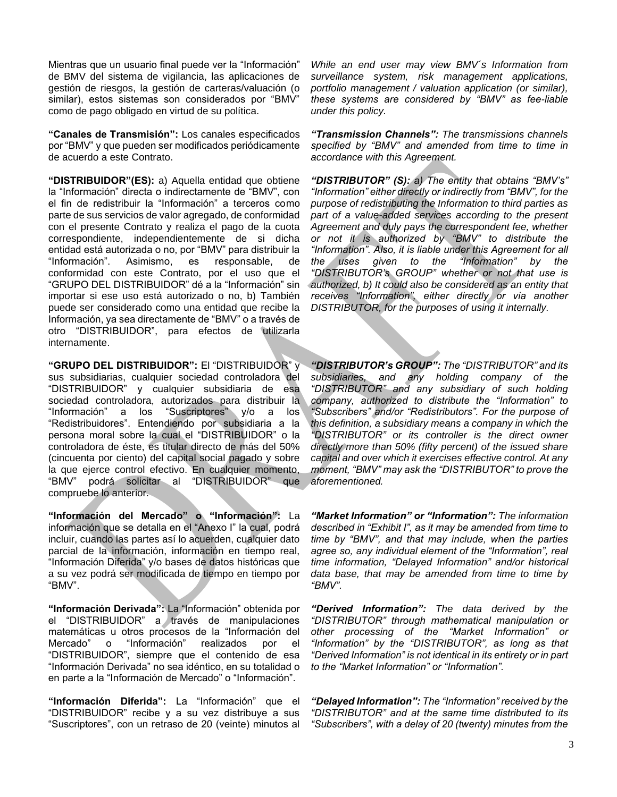Mientras que un usuario final puede ver la "Información" de BMV del sistema de vigilancia, las aplicaciones de gestión de riesgos, la gestión de carteras/valuación (o similar), estos sistemas son considerados por "BMV" como de pago obligado en virtud de su política.

**"Canales de Transmisión":** Los canales especificados por "BMV" y que pueden ser modificados periódicamente de acuerdo a este Contrato.

**"DISTRIBUIDOR"(ES):** a) Aquella entidad que obtiene la "Información" directa o indirectamente de "BMV", con el fin de redistribuir la "Información" a terceros como parte de sus servicios de valor agregado, de conformidad con el presente Contrato y realiza el pago de la cuota correspondiente, independientemente de si dicha entidad está autorizada o no, por "BMV" para distribuir la<br>"Información". Asimismo, es responsable, de "Información". Asimismo, es responsable, de conformidad con este Contrato, por el uso que el "GRUPO DEL DISTRIBUIDOR" dé a la "Información" sin importar si ese uso está autorizado o no, b) También puede ser considerado como una entidad que recibe la Información, ya sea directamente de "BMV" o a través de otro "DISTRIBUIDOR", para efectos de utilizarla internamente.

**"GRUPO DEL DISTRIBUIDOR":** El "DISTRIBUIDOR" y sus subsidiarias, cualquier sociedad controladora del "DISTRIBUIDOR" y cualquier subsidiaria de esa sociedad controladora, autorizados para distribuir la "Información" a los "Suscriptores" y/o a los "Redistribuidores". Entendiendo por subsidiaria a la persona moral sobre la cual el "DISTRIBUIDOR" o la controladora de éste, es titular directo de más del 50% (cincuenta por ciento) del capital social pagado y sobre la que ejerce control efectivo. En cualquier momento, "BMV" podrá solicitar al "DISTRIBUIDOR" que compruebe lo anterior.

**"Información del Mercado" o "Información":** La información que se detalla en el "Anexo I" la cual, podrá incluir, cuando las partes así lo acuerden, cualquier dato parcial de la información, información en tiempo real, "Información Diferida" y/o bases de datos históricas que a su vez podrá ser modificada de tiempo en tiempo por "BMV".

**"Información Derivada":** La "Información" obtenida por el "DISTRIBUIDOR" a través de manipulaciones matemáticas u otros procesos de la "Información del Mercado" o "Información" realizados por el "DISTRIBUIDOR", siempre que el contenido de esa "Información Derivada" no sea idéntico, en su totalidad o en parte a la "Información de Mercado" o "Información".

**"Información Diferida":** La "Información" que el "DISTRIBUIDOR" recibe y a su vez distribuye a sus "Suscriptores", con un retraso de 20 (veinte) minutos al

*While an end user may view BMV´s Information from surveillance system, risk management applications, portfolio management / valuation application (or similar), these systems are considered by "BMV" as fee-liable under this policy.*

*"Transmission Channels": The transmissions channels specified by "BMV" and amended from time to time in accordance with this Agreement.*

*"DISTRIBUTOR" (S): a) The entity that obtains "BMV's" "Information" either directly or indirectly from "BMV", for the purpose of redistributing the Information to third parties as part of a value-added services according to the present Agreement and duly pays the correspondent fee, whether or not it is authorized by "BMV" to distribute the "Information". Also, it is liable under this Agreement for all the uses given to the "Information" by the "DISTRIBUTOR's GROUP" whether or not that use is authorized, b) It could also be considered as an entity that receives "Information", either directly or via another DISTRIBUTOR, for the purposes of using it internally.* 

*"DISTRIBUTOR's GROUP": The "DISTRIBUTOR" and its subsidiaries, and any holding company of the "DISTRIBUTOR" and any subsidiary of such holding company, authorized to distribute the "Information" to "Subscribers" and/or "Redistributors". For the purpose of this definition, a subsidiary means a company in which the "DISTRIBUTOR" or its controller is the direct owner directly more than 50% (fifty percent) of the issued share capital and over which it exercises effective control. At any moment, "BMV" may ask the "DISTRIBUTOR" to prove the aforementioned.*

*"Market Information" or "Information": The information described in "Exhibit I", as it may be amended from time to time by "BMV", and that may include, when the parties agree so, any individual element of the "Information", real time information, "Delayed Information" and/or historical data base, that may be amended from time to time by "BMV".*

*"Derived Information": The data derived by the "DISTRIBUTOR" through mathematical manipulation or other processing of the "Market Information" or "Information" by the "DISTRIBUTOR", as long as that "Derived Information" is not identical in its entirety or in part to the "Market Information" or "Information".*

*"Delayed Information": The "Information" received by the "DISTRIBUTOR" and at the same time distributed to its "Subscribers", with a delay of 20 (twenty) minutes from the*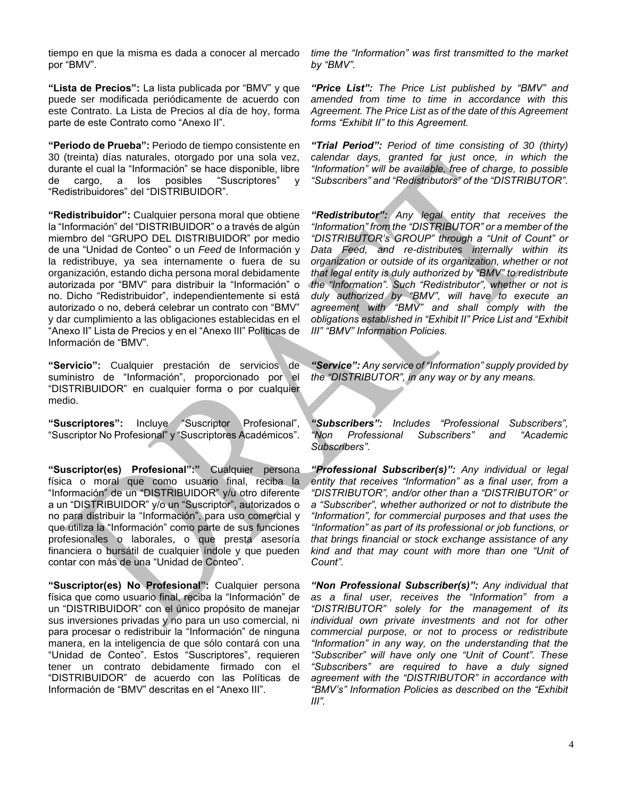tiempo en que la misma es dada a conocer al mercado por "BMV".

**"Lista de Precios":** La lista publicada por "BMV" y que puede ser modificada periódicamente de acuerdo con este Contrato. La Lista de Precios al día de hoy, forma parte de este Contrato como "Anexo II".

**"Periodo de Prueba":** Periodo de tiempo consistente en 30 (treinta) días naturales, otorgado por una sola vez, durante el cual la "Información" se hace disponible, libre de cargo, a los posibles "Suscriptores" y "Redistribuidores" del "DISTRIBUIDOR".

**"Redistribuidor":** Cualquier persona moral que obtiene la "Información" del "DISTRIBUIDOR" o a través de algún miembro del "GRUPO DEL DISTRIBUIDOR" por medio de una "Unidad de Conteo" o un *Feed* de Información y la redistribuye, ya sea internamente o fuera de su organización, estando dicha persona moral debidamente autorizada por "BMV" para distribuir la "Información" o no. Dicho "Redistribuidor", independientemente si está autorizado o no, deberá celebrar un contrato con "BMV" y dar cumplimiento a las obligaciones establecidas en el "Anexo II" Lista de Precios y en el "Anexo III" Políticas de Información de "BMV".

**"Servicio":** Cualquier prestación de servicios de suministro de "Información", proporcionado por el "DISTRIBUIDOR" en cualquier forma o por cualquier medio.

**"Suscriptores":** Incluye "Suscriptor Profesional", "Suscriptor No Profesional" y "Suscriptores Académicos".

**"Suscriptor(es) Profesional":"** Cualquier persona física o moral que como usuario final, reciba la "Información" de un "DISTRIBUIDOR" y/u otro diferente a un "DISTRIBUIDOR" y/o un "Suscriptor", autorizados o no para distribuir la "Información", para uso comercial y que utiliza la "Información" como parte de sus funciones profesionales o laborales, o que presta asesoría financiera o bursátil de cualquier índole y que pueden contar con más de una "Unidad de Conteo".

**"Suscriptor(es) No Profesional":** Cualquier persona física que como usuario final, reciba la "Información" de un "DISTRIBUIDOR" con el único propósito de manejar sus inversiones privadas y no para un uso comercial, ni para procesar o redistribuir la "Información" de ninguna manera, en la inteligencia de que sólo contará con una "Unidad de Conteo". Estos "Suscriptores", requieren tener un contrato debidamente firmado con el "DISTRIBUIDOR" de acuerdo con las Políticas de Información de "BMV" descritas en el "Anexo III".

*time the "Information" was first transmitted to the market by "BMV".*

*"Price List": The Price List published by "BMV" and amended from time to time in accordance with this Agreement. The Price List as of the date of this Agreement forms "Exhibit II" to this Agreement.*

*"Trial Period": Period of time consisting of 30 (thirty) calendar days, granted for just once, in which the "Information" will be available, free of charge, to possible "Subscribers" and "Redistributors" of the "DISTRIBUTOR".*

*"Redistributor": Any legal entity that receives the "Information" from the "DISTRIBUTOR" or a member of the "DISTRIBUTOR's GROUP" through a "Unit of Count" or Data Feed, and re-distributes internally within its organization or outside of its organization, whether or not that legal entity is duly authorized by "BMV" to redistribute the "Information". Such "Redistributor", whether or not is duly authorized by "BMV", will have to execute an agreement with "BMV" and shall comply with the obligations established in "Exhibit II" Price List and "Exhibit III" "BMV" Information Policies.*

*"Service": Any service of "Information" supply provided by the "DISTRIBUTOR", in any way or by any means.* 

*"Subscribers": Includes "Professional Subscribers", "Non Professional Subscribers" and "Academic Subscribers".*

*"Professional Subscriber(s)": Any individual or legal entity that receives "Information" as a final user, from a "DISTRIBUTOR", and/or other than a "DISTRIBUTOR" or a "Subscriber", whether authorized or not to distribute the "Information", for commercial purposes and that uses the "Information" as part of its professional or job functions, or that brings financial or stock exchange assistance of any kind and that may count with more than one "Unit of Count".*

*"Non Professional Subscriber(s)": Any individual that as a final user, receives the "Information" from a "DISTRIBUTOR" solely for the management of its individual own private investments and not for other commercial purpose, or not to process or redistribute "Information" in any way, on the understanding that the "Subscriber" will have only one "Unit of Count". These "Subscribers" are required to have a duly signed agreement with the "DISTRIBUTOR" in accordance with "BMV's" Information Policies as described on the "Exhibit III".*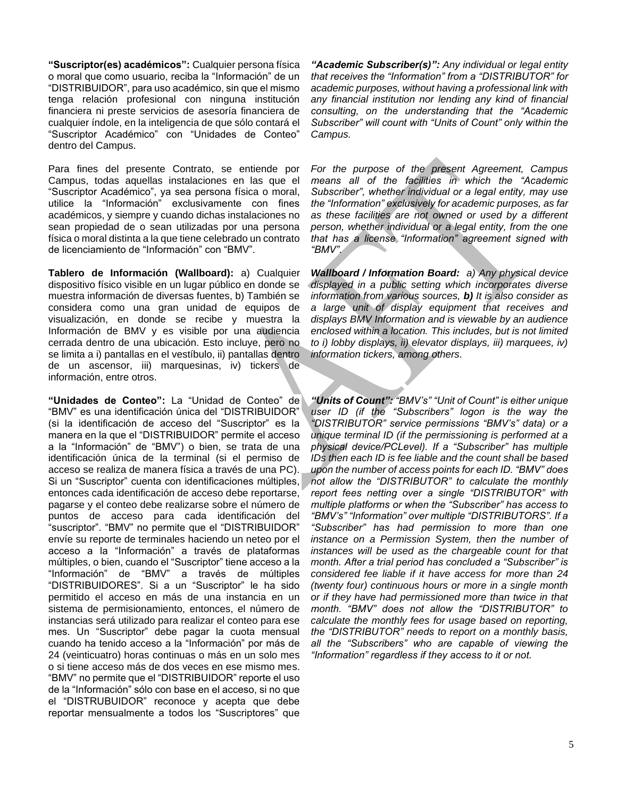**"Suscriptor(es) académicos":** Cualquier persona física o moral que como usuario, reciba la "Información" de un "DISTRIBUIDOR", para uso académico, sin que el mismo tenga relación profesional con ninguna institución financiera ni preste servicios de asesoría financiera de cualquier índole, en la inteligencia de que sólo contará el "Suscriptor Académico" con "Unidades de Conteo" dentro del Campus.

Para fines del presente Contrato, se entiende por Campus, todas aquellas instalaciones en las que el "Suscriptor Académico", ya sea persona física o moral, utilice la "Información" exclusivamente con fines académicos, y siempre y cuando dichas instalaciones no sean propiedad de o sean utilizadas por una persona física o moral distinta a la que tiene celebrado un contrato de licenciamiento de "Información" con "BMV".

**Tablero de Información (Wallboard):** a) Cualquier dispositivo físico visible en un lugar público en donde se muestra información de diversas fuentes, b) También se considera como una gran unidad de equipos de visualización, en donde se recibe y muestra la Información de BMV y es visible por una audiencia cerrada dentro de una ubicación. Esto incluye, pero no se limita a i) pantallas en el vestíbulo, ii) pantallas dentro de un ascensor, iii) marquesinas, iv) tickers de información, entre otros.

**"Unidades de Conteo":** La "Unidad de Conteo" de "BMV" es una identificación única del "DISTRIBUIDOR" (si la identificación de acceso del "Suscriptor" es la manera en la que el "DISTRIBUIDOR" permite el acceso a la "Información" de "BMV") o bien, se trata de una identificación única de la terminal (si el permiso de acceso se realiza de manera física a través de una PC). Si un "Suscriptor" cuenta con identificaciones múltiples, entonces cada identificación de acceso debe reportarse, pagarse y el conteo debe realizarse sobre el número de puntos de acceso para cada identificación del "suscriptor". "BMV" no permite que el "DISTRIBUIDOR" envíe su reporte de terminales haciendo un neteo por el acceso a la "Información" a través de plataformas múltiples, o bien, cuando el "Suscriptor" tiene acceso a la "Información" de "BMV" a través de múltiples "DISTRIBUIDORES". Si a un "Suscriptor" le ha sido permitido el acceso en más de una instancia en un sistema de permisionamiento, entonces, el número de instancias será utilizado para realizar el conteo para ese mes. Un "Suscriptor" debe pagar la cuota mensual cuando ha tenido acceso a la "Información" por más de 24 (veinticuatro) horas continuas o más en un solo mes o si tiene acceso más de dos veces en ese mismo mes. "BMV" no permite que el "DISTRIBUIDOR" reporte el uso de la "Información" sólo con base en el acceso, si no que el "DISTRUBUIDOR" reconoce y acepta que debe reportar mensualmente a todos los "Suscriptores" que

*"Academic Subscriber(s)": Any individual or legal entity that receives the "Information" from a "DISTRIBUTOR" for academic purposes, without having a professional link with any financial institution nor lending any kind of financial consulting, on the understanding that the "Academic Subscriber" will count with "Units of Count" only within the Campus.*

*For the purpose of the present Agreement, Campus means all of the facilities in which the "Academic Subscriber", whether individual or a legal entity, may use the "Information" exclusively for academic purposes, as far as these facilities are not owned or used by a different person, whether individual or a legal entity, from the one that has a license "Information" agreement signed with "BMV".*

*Wallboard / Information Board: a) Any physical device displayed in a public setting which incorporates diverse information from various sources, b) It is also consider as a large unit of display equipment that receives and displays BMV Information and is viewable by an audience enclosed within a location. This includes, but is not limited to i) lobby displays, ii) elevator displays, iii) marquees, iv) information tickers, among others.*

*"Units of Count": "BMV's" "Unit of Count" is either unique user ID (if the "Subscribers" logon is the way the "DISTRIBUTOR" service permissions "BMV's" data) or a unique terminal ID (if the permissioning is performed at a physical device/PCLevel). If a "Subscriber" has multiple IDs then each ID is fee liable and the count shall be based upon the number of access points for each ID. "BMV" does not allow the "DISTRIBUTOR" to calculate the monthly report fees netting over a single "DISTRIBUTOR" with multiple platforms or when the "Subscriber" has access to "BMV's" "Information" over multiple "DISTRIBUTORS". If a "Subscriber" has had permission to more than one instance on a Permission System, then the number of instances will be used as the chargeable count for that month. After a trial period has concluded a "Subscriber" is considered fee liable if it have access for more than 24 (twenty four) continuous hours or more in a single month or if they have had permissioned more than twice in that month. "BMV" does not allow the "DISTRIBUTOR" to calculate the monthly fees for usage based on reporting, the "DISTRIBUTOR" needs to report on a monthly basis, all the "Subscribers" who are capable of viewing the "Information" regardless if they access to it or not.*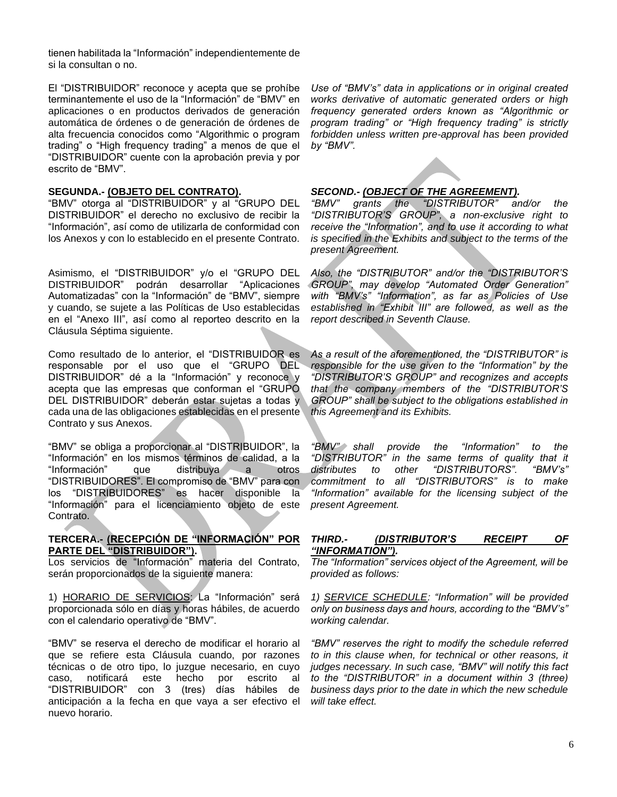tienen habilitada la "Información" independientemente de si la consultan o no.

El "DISTRIBUIDOR" reconoce y acepta que se prohíbe terminantemente el uso de la "Información" de "BMV" en aplicaciones o en productos derivados de generación automática de órdenes o de generación de órdenes de alta frecuencia conocidos como "Algorithmic o program trading" o "High frequency trading" a menos de que el "DISTRIBUIDOR" cuente con la aprobación previa y por escrito de "BMV".

## **SEGUNDA.- (OBJETO DEL CONTRATO).**

"BMV" otorga al "DISTRIBUIDOR" y al "GRUPO DEL DISTRIBUIDOR" el derecho no exclusivo de recibir la "Información", así como de utilizarla de conformidad con los Anexos y con lo establecido en el presente Contrato.

Asimismo, el "DISTRIBUIDOR" y/o el "GRUPO DEL DISTRIBUIDOR" podrán desarrollar "Aplicaciones Automatizadas" con la "Información" de "BMV", siempre y cuando, se sujete a las Políticas de Uso establecidas en el "Anexo III", así como al reporteo descrito en la Cláusula Séptima siguiente.

Como resultado de lo anterior, el "DISTRIBUIDOR es responsable por el uso que el "GRUPO DEL DISTRIBUIDOR" dé a la "Información" y reconoce y acepta que las empresas que conforman el "GRUPO DEL DISTRIBUIDOR" deberán estar sujetas a todas y cada una de las obligaciones establecidas en el presente Contrato y sus Anexos.

"BMV" se obliga a proporcionar al "DISTRIBUIDOR", la "Información" en los mismos términos de calidad, a la "Información" que distribuya a otros "DISTRIBUIDORES". El compromiso de "BMV" para con los "DISTRIBUIDORES" es hacer disponible la "Información" para el licenciamiento objeto de este Contrato.

# **TERCERA.- (RECEPCIÓN DE "INFORMACIÓN" POR PARTE DEL "DISTRIBUIDOR").**

Los servicios de "Información" materia del Contrato, serán proporcionados de la siguiente manera:

1) HORARIO DE SERVICIOS: La "Información" será proporcionada sólo en días y horas hábiles, de acuerdo con el calendario operativo de "BMV".

"BMV" se reserva el derecho de modificar el horario al que se refiere esta Cláusula cuando, por razones técnicas o de otro tipo, lo juzgue necesario, en cuyo caso, notificará este hecho por escrito al "DISTRIBUIDOR" con 3 (tres) días hábiles de anticipación a la fecha en que vaya a ser efectivo el nuevo horario.

*Use of "BMV's" data in applications or in original created works derivative of automatic generated orders or high frequency generated orders known as "Algorithmic or program trading" or "High frequency trading" is strictly forbidden unless written pre-approval has been provided by "BMV".*

# *SECOND.- (OBJECT OF THE AGREEMENT).*

*"BMV" grants the "DISTRIBUTOR" and/or the "DISTRIBUTOR'S GROUP", a non-exclusive right to receive the "Information", and to use it according to what is specified in the Exhibits and subject to the terms of the present Agreement.*

*Also, the "DISTRIBUTOR" and/or the "DISTRIBUTOR'S GROUP", may develop "Automated Order Generation" with "BMV's" "Information", as far as Policies of Use established in "Exhibit III" are followed, as well as the report described in Seventh Clause.*

*As a result of the aforementioned, the "DISTRIBUTOR" is responsible for the use given to the "Information" by the "DISTRIBUTOR'S GROUP" and recognizes and accepts that the company members of the "DISTRIBUTOR'S GROUP" shall be subject to the obligations established in this Agreement and its Exhibits.*

*"BMV" shall provide the "Information" to the "DISTRIBUTOR" in the same terms of quality that it distributes to other "DISTRIBUTORS". "BMV's" commitment to all "DISTRIBUTORS" is to make "Information" available for the licensing subject of the present Agreement.*

# *THIRD.- (DISTRIBUTOR'S RECEIPT OF "INFORMATION").*

*The "Information" services object of the Agreement, will be provided as follows:*

*1) SERVICE SCHEDULE: "Information" will be provided only on business days and hours, according to the "BMV's" working calendar.* 

*"BMV" reserves the right to modify the schedule referred to in this clause when, for technical or other reasons, it judges necessary. In such case, "BMV" will notify this fact to the "DISTRIBUTOR" in a document within 3 (three) business days prior to the date in which the new schedule will take effect.*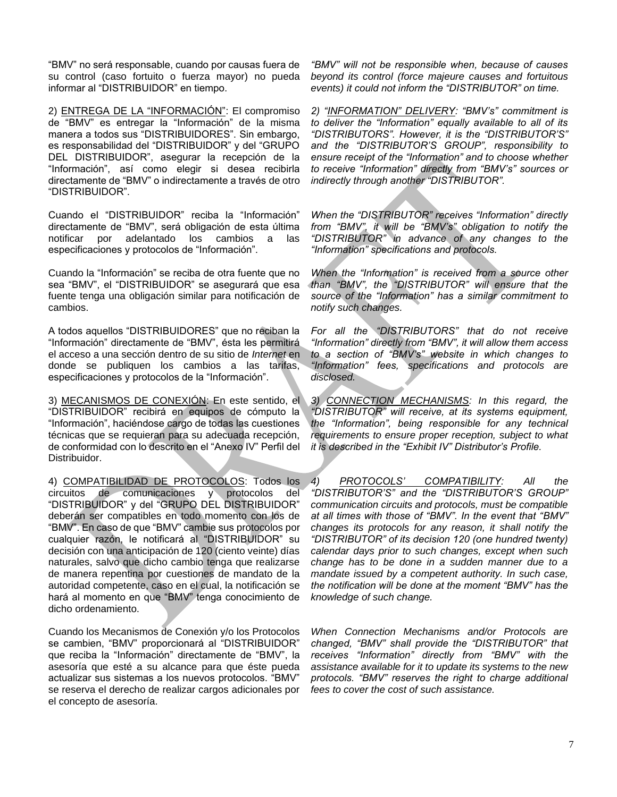"BMV" no será responsable, cuando por causas fuera de su control (caso fortuito o fuerza mayor) no pueda informar al "DISTRIBUIDOR" en tiempo.

2) ENTREGA DE LA "INFORMACIÓN": El compromiso de "BMV" es entregar la "Información" de la misma manera a todos sus "DISTRIBUIDORES". Sin embargo, es responsabilidad del "DISTRIBUIDOR" y del "GRUPO DEL DISTRIBUIDOR", asegurar la recepción de la "Información", así como elegir si desea recibirla directamente de "BMV" o indirectamente a través de otro "DISTRIBUIDOR".

Cuando el "DISTRIBUIDOR" reciba la "Información" directamente de "BMV", será obligación de esta última notificar por adelantado los cambios a las especificaciones y protocolos de "Información".

Cuando la "Información" se reciba de otra fuente que no sea "BMV", el "DISTRIBUIDOR" se asegurará que esa fuente tenga una obligación similar para notificación de cambios.

A todos aquellos "DISTRIBUIDORES" que no reciban la "Información" directamente de "BMV", ésta les permitirá el acceso a una sección dentro de su sitio de *Internet* en donde se publiquen los cambios a las tarifas, especificaciones y protocolos de la "Información".

3) MECANISMOS DE CONEXIÓN: En este sentido, el "DISTRIBUIDOR" recibirá en equipos de cómputo la "Información", haciéndose cargo de todas las cuestiones técnicas que se requieran para su adecuada recepción, de conformidad con lo descrito en el "Anexo IV" Perfil del Distribuidor.

4) COMPATIBILIDAD DE PROTOCOLOS: Todos los circuitos de comunicaciones y protocolos del "DISTRIBUIDOR" y del "GRUPO DEL DISTRIBUIDOR" deberán ser compatibles en todo momento con los de "BMV". En caso de que "BMV" cambie sus protocolos por cualquier razón, le notificará al "DISTRIBUIDOR" su decisión con una anticipación de 120 (ciento veinte) días naturales, salvo que dicho cambio tenga que realizarse de manera repentina por cuestiones de mandato de la autoridad competente, caso en el cual, la notificación se hará al momento en que "BMV" tenga conocimiento de dicho ordenamiento.

Cuando los Mecanismos de Conexión y/o los Protocolos se cambien, "BMV" proporcionará al "DISTRIBUIDOR" que reciba la "Información" directamente de "BMV", la asesoría que esté a su alcance para que éste pueda actualizar sus sistemas a los nuevos protocolos. "BMV" se reserva el derecho de realizar cargos adicionales por el concepto de asesoría.

*"BMV" will not be responsible when, because of causes beyond its control (force majeure causes and fortuitous events) it could not inform the "DISTRIBUTOR" on time.*

*2) "INFORMATION" DELIVERY: "BMV's" commitment is to deliver the "Information" equally available to all of its "DISTRIBUTORS". However, it is the "DISTRIBUTOR'S" and the "DISTRIBUTOR'S GROUP", responsibility to ensure receipt of the "Information" and to choose whether to receive "Information" directly from "BMV's" sources or indirectly through another "DISTRIBUTOR".*

*When the "DISTRIBUTOR" receives "Information" directly from "BMV", it will be "BMV's" obligation to notify the "DISTRIBUTOR" in advance of any changes to the "Information" specifications and protocols.*

*When the "Information" is received from a source other than "BMV", the "DISTRIBUTOR" will ensure that the source of the "Information" has a similar commitment to notify such changes.* 

*For all the "DISTRIBUTORS" that do not receive "Information" directly from "BMV", it will allow them access to a section of "BMV's" website in which changes to "Information" fees, specifications and protocols are disclosed.*

*3) CONNECTION MECHANISMS: In this regard, the "DISTRIBUTOR" will receive, at its systems equipment, the "Information", being responsible for any technical requirements to ensure proper reception, subject to what it is described in the "Exhibit IV" Distributor's Profile.* 

*4) PROTOCOLS' COMPATIBILITY: All the "DISTRIBUTOR'S" and the "DISTRIBUTOR'S GROUP" communication circuits and protocols, must be compatible at all times with those of "BMV". In the event that "BMV" changes its protocols for any reason, it shall notify the "DISTRIBUTOR" of its decision 120 (one hundred twenty) calendar days prior to such changes, except when such change has to be done in a sudden manner due to a mandate issued by a competent authority. In such case, the notification will be done at the moment "BMV" has the knowledge of such change.* 

*When Connection Mechanisms and/or Protocols are changed, "BMV" shall provide the "DISTRIBUTOR" that receives "Information" directly from "BMV" with the assistance available for it to update its systems to the new protocols. "BMV" reserves the right to charge additional fees to cover the cost of such assistance.*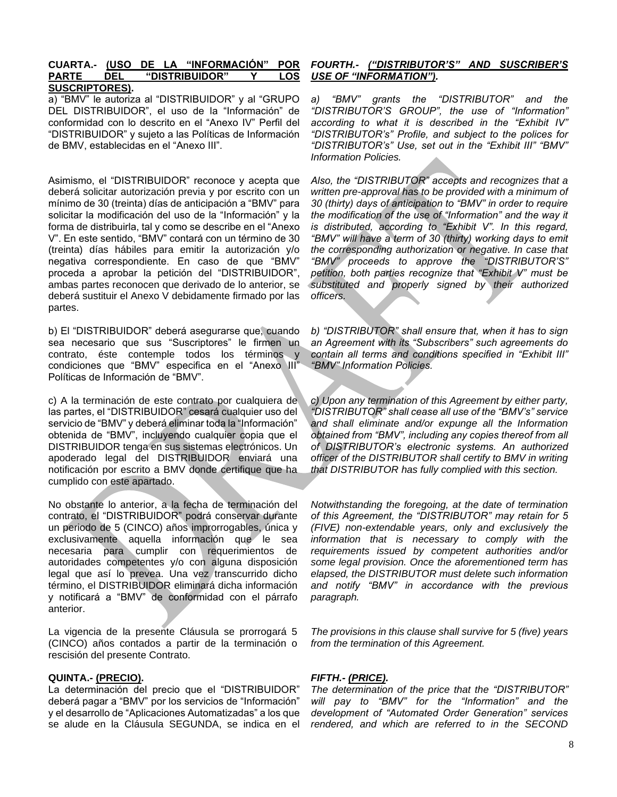# **CUARTA.- (USO DE LA "INFORMACIÓN" POR PARTE DEL "DISTRIBUIDOR" Y LOS SUSCRIPTORES).**

a) "BMV" le autoriza al "DISTRIBUIDOR" y al "GRUPO DEL DISTRIBUIDOR", el uso de la "Información" de conformidad con lo descrito en el "Anexo IV" Perfil del "DISTRIBUIDOR" y sujeto a las Políticas de Información de BMV, establecidas en el "Anexo III".

Asimismo, el "DISTRIBUIDOR" reconoce y acepta que deberá solicitar autorización previa y por escrito con un mínimo de 30 (treinta) días de anticipación a "BMV" para solicitar la modificación del uso de la "Información" y la forma de distribuirla, tal y como se describe en el "Anexo V". En este sentido, "BMV" contará con un término de 30 (treinta) días hábiles para emitir la autorización y/o negativa correspondiente. En caso de que "BMV" proceda a aprobar la petición del "DISTRIBUIDOR", ambas partes reconocen que derivado de lo anterior, se deberá sustituir el Anexo V debidamente firmado por las partes.

b) El "DISTRIBUIDOR" deberá asegurarse que, cuando sea necesario que sus "Suscriptores" le firmen un contrato, éste contemple todos los términos y condiciones que "BMV" especifica en el "Anexo III" Políticas de Información de "BMV".

c) A la terminación de este contrato por cualquiera de las partes, el "DISTRIBUIDOR" cesará cualquier uso del servicio de "BMV" y deberá eliminar toda la "Información" obtenida de "BMV", incluyendo cualquier copia que el DISTRIBUIDOR tenga en sus sistemas electrónicos. Un apoderado legal del DISTRIBUIDOR enviará una notificación por escrito a BMV donde certifique que ha cumplido con este apartado.

No obstante lo anterior, a la fecha de terminación del contrato, el "DISTRIBUIDOR" podrá conservar durante un periodo de 5 (CINCO) años improrrogables, única y exclusivamente aquella información que le sea necesaria para cumplir con requerimientos de autoridades competentes y/o con alguna disposición legal que así lo prevea. Una vez transcurrido dicho término, el DISTRIBUIDOR eliminará dicha información y notificará a "BMV" de conformidad con el párrafo anterior.

La vigencia de la presente Cláusula se prorrogará 5 (CINCO) años contados a partir de la terminación o rescisión del presente Contrato.

# **QUINTA.- (PRECIO).**

La determinación del precio que el "DISTRIBUIDOR" deberá pagar a "BMV" por los servicios de "Información" y el desarrollo de "Aplicaciones Automatizadas" a los que se alude en la Cláusula SEGUNDA, se indica en el

# *FOURTH.- ("DISTRIBUTOR'S" AND SUSCRIBER'S USE OF "INFORMATION").*

*a) "BMV" grants the "DISTRIBUTOR" and the "DISTRIBUTOR'S GROUP", the use of "Information" according to what it is described in the "Exhibit IV" "DISTRIBUTOR's" Profile, and subject to the polices for "DISTRIBUTOR's" Use, set out in the "Exhibit III" "BMV" Information Policies.*

*Also, the "DISTRIBUTOR" accepts and recognizes that a written pre-approval has to be provided with a minimum of 30 (thirty) days of anticipation to "BMV" in order to require the modification of the use of "Information" and the way it is distributed, according to "Exhibit V". In this regard, "BMV" will have a term of 30 (thirty) working days to emit the corresponding authorization or negative. In case that "BMV" proceeds to approve the "DISTRIBUTOR'S" petition, both parties recognize that "Exhibit V" must be substituted and properly signed by their authorized officers.*

*b) "DISTRIBUTOR" shall ensure that, when it has to sign an Agreement with its "Subscribers" such agreements do contain all terms and conditions specified in "Exhibit III" "BMV" Information Policies.*

*c) Upon any termination of this Agreement by either party, "DISTRIBUTOR" shall cease all use of the "BMV's" service and shall eliminate and/or expunge all the Information obtained from "BMV", including any copies thereof from all of DISTRIBUTOR's electronic systems. An authorized officer of the DISTRIBUTOR shall certify to BMV in writing that DISTRIBUTOR has fully complied with this section.*

*Notwithstanding the foregoing, at the date of termination of this Agreement, the "DISTRIBUTOR" may retain for 5 (FIVE) non-extendable years, only and exclusively the information that is necessary to comply with the requirements issued by competent authorities and/or some legal provision. Once the aforementioned term has elapsed, the DISTRIBUTOR must delete such information and notify "BMV" in accordance with the previous paragraph.*

*The provisions in this clause shall survive for 5 (five) years from the termination of this Agreement.*

# *FIFTH.- (PRICE).*

*The determination of the price that the "DISTRIBUTOR" will pay to "BMV" for the "Information" and the development of "Automated Order Generation" services rendered, and which are referred to in the SECOND*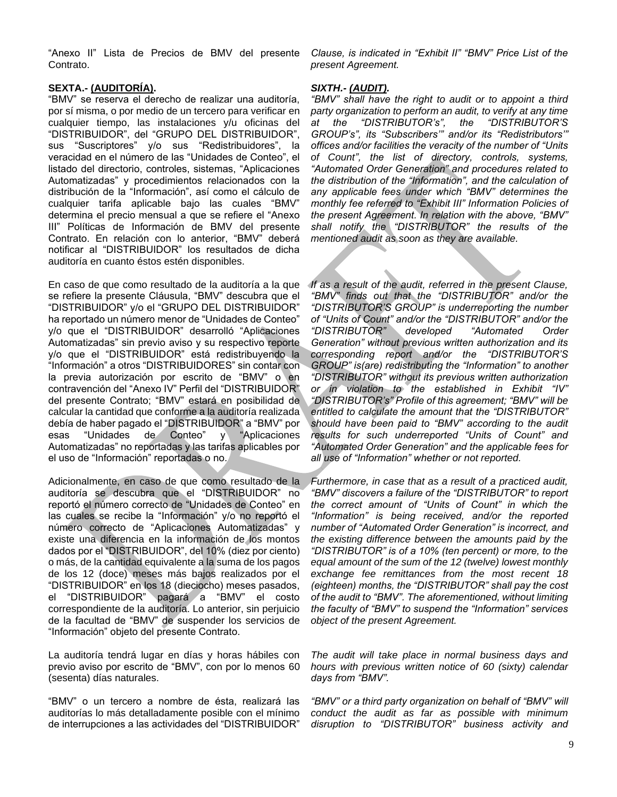"Anexo II" Lista de Precios de BMV del presente Contrato.

# **SEXTA.- (AUDITORÍA).**

"BMV" se reserva el derecho de realizar una auditoría, por sí misma, o por medio de un tercero para verificar en cualquier tiempo, las instalaciones y/u oficinas del "DISTRIBUIDOR", del "GRUPO DEL DISTRIBUIDOR", sus "Suscriptores" y/o sus "Redistribuidores", la veracidad en el número de las "Unidades de Conteo", el listado del directorio, controles, sistemas, "Aplicaciones Automatizadas" y procedimientos relacionados con la distribución de la "Información", así como el cálculo de cualquier tarifa aplicable bajo las cuales "BMV" determina el precio mensual a que se refiere el "Anexo III" Políticas de Información de BMV del presente Contrato. En relación con lo anterior, "BMV" deberá notificar al "DISTRIBUIDOR" los resultados de dicha auditoría en cuanto éstos estén disponibles.

En caso de que como resultado de la auditoría a la que se refiere la presente Cláusula, "BMV" descubra que el "DISTRIBUIDOR" y/o el "GRUPO DEL DISTRIBUIDOR" ha reportado un número menor de "Unidades de Conteo" y/o que el "DISTRIBUIDOR" desarrolló "Aplicaciones Automatizadas" sin previo aviso y su respectivo reporte y/o que el "DISTRIBUIDOR" está redistribuyendo la "Información" a otros "DISTRIBUIDORES" sin contar con la previa autorización por escrito de "BMV" o en contravención del "Anexo IV" Perfil del "DISTRIBUIDOR" del presente Contrato; "BMV" estará en posibilidad de calcular la cantidad que conforme a la auditoría realizada debía de haber pagado el "DISTRIBUIDOR" a "BMV" por esas "Unidades de Conteo" y "Aplicaciones Automatizadas" no reportadas y las tarifas aplicables por el uso de "Información" reportadas o no.

Adicionalmente, en caso de que como resultado de la auditoría se descubra que el "DISTRIBUIDOR" no reportó el número correcto de "Unidades de Conteo" en las cuales se recibe la "Información" y/o no reportó el número correcto de "Aplicaciones Automatizadas" y existe una diferencia en la información de los montos dados por el "DISTRIBUIDOR", del 10% (diez por ciento) o más, de la cantidad equivalente a la suma de los pagos de los 12 (doce) meses más bajos realizados por el "DISTRIBUIDOR" en los 18 (dieciocho) meses pasados, el "DISTRIBUIDOR" pagará a "BMV" el costo correspondiente de la auditoría. Lo anterior, sin perjuicio de la facultad de "BMV" de suspender los servicios de "Información" objeto del presente Contrato.

La auditoría tendrá lugar en días y horas hábiles con previo aviso por escrito de "BMV", con por lo menos 60 (sesenta) días naturales.

"BMV" o un tercero a nombre de ésta, realizará las auditorías lo más detalladamente posible con el mínimo de interrupciones a las actividades del "DISTRIBUIDOR" *Clause, is indicated in "Exhibit II" "BMV" Price List of the present Agreement.*

## *SIXTH.- (AUDIT).*

*"BMV" shall have the right to audit or to appoint a third party organization to perform an audit, to verify at any time at the "DISTRIBUTOR's", the "DISTRIBUTOR'S GROUP's", its "Subscribers'" and/or its "Redistributors'" offices and/or facilities the veracity of the number of "Units of Count", the list of directory, controls, systems, "Automated Order Generation" and procedures related to the distribution of the "Information", and the calculation of any applicable fees under which "BMV" determines the monthly fee referred to "Exhibit III" Information Policies of the present Agreement. In relation with the above, "BMV" shall notify the "DISTRIBUTOR" the results of the mentioned audit as soon as they are available.* 

*If as a result of the audit, referred in the present Clause, "BMV" finds out that the "DISTRIBUTOR" and/or the "DISTRIBUTOR'S GROUP" is underreporting the number of "Units of Count" and/or the "DISTRIBUTOR" and/or the "DISTRIBUTOR" developed "Automated Order Generation" without previous written authorization and its corresponding report and/or the "DISTRIBUTOR'S GROUP" is(are) redistributing the "Information" to another "DISTRIBUTOR" without its previous written authorization or in violation to the established in Exhibit "IV" "DISTRIBUTOR's" Profile of this agreement; "BMV" will be entitled to calculate the amount that the "DISTRIBUTOR" should have been paid to "BMV" according to the audit results for such underreported "Units of Count" and "Automated Order Generation" and the applicable fees for all use of "Information" whether or not reported.*

*Furthermore, in case that as a result of a practiced audit, "BMV" discovers a failure of the "DISTRIBUTOR" to report the correct amount of "Units of Count" in which the "Information" is being received, and/or the reported number of "Automated Order Generation" is incorrect, and the existing difference between the amounts paid by the "DISTRIBUTOR" is of a 10% (ten percent) or more, to the equal amount of the sum of the 12 (twelve) lowest monthly exchange fee remittances from the most recent 18 (eighteen) months, the "DISTRIBUTOR" shall pay the cost of the audit to "BMV". The aforementioned, without limiting the faculty of "BMV" to suspend the "Information" services object of the present Agreement.* 

*The audit will take place in normal business days and hours with previous written notice of 60 (sixty) calendar days from "BMV".*

*"BMV" or a third party organization on behalf of "BMV" will conduct the audit as far as possible with minimum disruption to "DISTRIBUTOR" business activity and*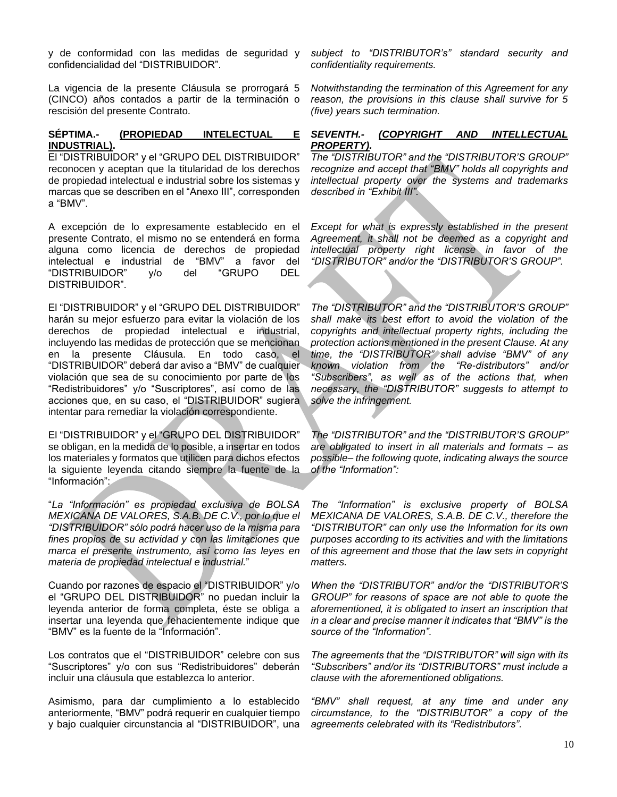y de conformidad con las medidas de seguridad y confidencialidad del "DISTRIBUIDOR".

La vigencia de la presente Cláusula se prorrogará 5 (CINCO) años contados a partir de la terminación o rescisión del presente Contrato.

# **SÉPTIMA.- (PROPIEDAD INTELECTUAL E INDUSTRIAL).**

El "DISTRIBUIDOR" y el "GRUPO DEL DISTRIBUIDOR" reconocen y aceptan que la titularidad de los derechos de propiedad intelectual e industrial sobre los sistemas y marcas que se describen en el "Anexo III", corresponden a "BMV".

A excepción de lo expresamente establecido en el presente Contrato, el mismo no se entenderá en forma alguna como licencia de derechos de propiedad intelectual e industrial de "BMV" a favor del "DISTRIBUIDOR" y/o del "GRUPO DEL DISTRIBUIDOR".

El "DISTRIBUIDOR" y el "GRUPO DEL DISTRIBUIDOR" harán su mejor esfuerzo para evitar la violación de los derechos de propiedad intelectual e industrial, incluyendo las medidas de protección que se mencionan en la presente Cláusula. En todo caso, el "DISTRIBUIDOR" deberá dar aviso a "BMV" de cualquier violación que sea de su conocimiento por parte de los "Redistribuidores" y/o "Suscriptores", así como de las acciones que, en su caso, el "DISTRIBUIDOR" sugiera intentar para remediar la violación correspondiente.

El "DISTRIBUIDOR" y el "GRUPO DEL DISTRIBUIDOR" se obligan, en la medida de lo posible, a insertar en todos los materiales y formatos que utilicen para dichos efectos la siguiente leyenda citando siempre la fuente de la "Información":

"*La "Información" es propiedad exclusiva de BOLSA MEXICANA DE VALORES, S.A.B. DE C.V., por lo que el "DISTRIBUIDOR" sólo podrá hacer uso de la misma para fines propios de su actividad y con las limitaciones que marca el presente instrumento, así como las leyes en materia de propiedad intelectual e industrial.*"

Cuando por razones de espacio el "DISTRIBUIDOR" y/o el "GRUPO DEL DISTRIBUIDOR" no puedan incluir la leyenda anterior de forma completa, éste se obliga a insertar una leyenda que fehacientemente indique que "BMV" es la fuente de la "Información".

Los contratos que el "DISTRIBUIDOR" celebre con sus "Suscriptores" y/o con sus "Redistribuidores" deberán incluir una cláusula que establezca lo anterior.

Asimismo, para dar cumplimiento a lo establecido anteriormente, "BMV" podrá requerir en cualquier tiempo y bajo cualquier circunstancia al "DISTRIBUIDOR", una

*subject to "DISTRIBUTOR's" standard security and confidentiality requirements.*

*Notwithstanding the termination of this Agreement for any reason, the provisions in this clause shall survive for 5 (five) years such termination.*

# *SEVENTH.- (COPYRIGHT AND INTELLECTUAL PROPERTY).*

*The "DISTRIBUTOR" and the "DISTRIBUTOR'S GROUP" recognize and accept that "BMV" holds all copyrights and intellectual property over the systems and trademarks described in "Exhibit III".*

*Except for what is expressly established in the present Agreement, it shall not be deemed as a copyright and intellectual property right license in favor of the "DISTRIBUTOR" and/or the "DISTRIBUTOR'S GROUP".*

*The "DISTRIBUTOR" and the "DISTRIBUTOR'S GROUP" shall make its best effort to avoid the violation of the copyrights and intellectual property rights, including the protection actions mentioned in the present Clause. At any time, the "DISTRIBUTOR" shall advise "BMV" of any known violation from the "Re-distributors" and/or "Subscribers", as well as of the actions that, when necessary, the "DISTRIBUTOR" suggests to attempt to solve the infringement.*

*The "DISTRIBUTOR" and the "DISTRIBUTOR'S GROUP" are obligated to insert in all materials and formats – as possible– the following quote, indicating always the source of the "Information":*

*The "Information" is exclusive property of BOLSA MEXICANA DE VALORES, S.A.B. DE C.V., therefore the "DISTRIBUTOR" can only use the Information for its own purposes according to its activities and with the limitations of this agreement and those that the law sets in copyright matters.*

*When the "DISTRIBUTOR" and/or the "DISTRIBUTOR'S GROUP" for reasons of space are not able to quote the aforementioned, it is obligated to insert an inscription that in a clear and precise manner it indicates that "BMV" is the source of the "Information".*

*The agreements that the "DISTRIBUTOR" will sign with its "Subscribers" and/or its "DISTRIBUTORS" must include a clause with the aforementioned obligations.* 

*"BMV" shall request, at any time and under any circumstance, to the "DISTRIBUTOR" a copy of the agreements celebrated with its "Redistributors".*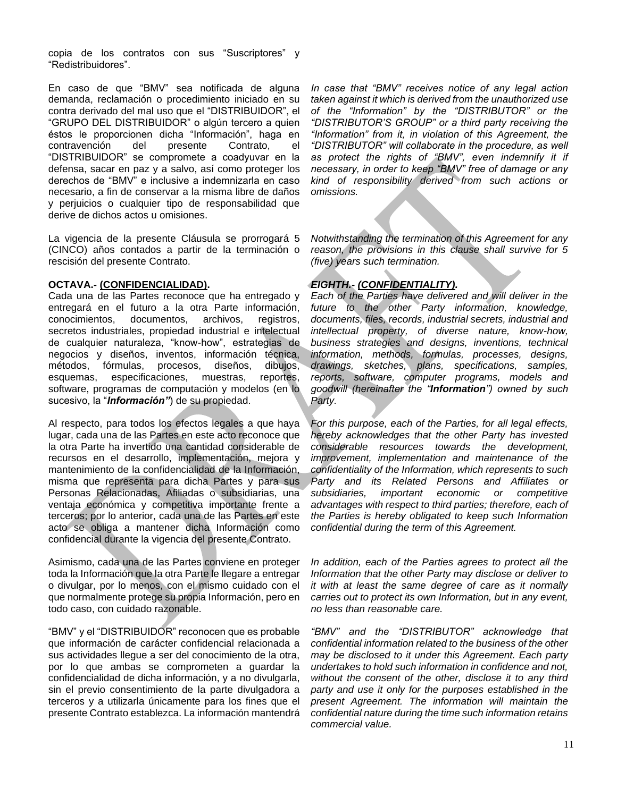copia de los contratos con sus "Suscriptores" y "Redistribuidores".

En caso de que "BMV" sea notificada de alguna demanda, reclamación o procedimiento iniciado en su contra derivado del mal uso que el "DISTRIBUIDOR", el "GRUPO DEL DISTRIBUIDOR" o algún tercero a quien éstos le proporcionen dicha "Información", haga en contravención del presente Contrato, el "DISTRIBUIDOR" se compromete a coadyuvar en la defensa, sacar en paz y a salvo, así como proteger los derechos de "BMV" e inclusive a indemnizarla en caso necesario, a fin de conservar a la misma libre de daños y perjuicios o cualquier tipo de responsabilidad que derive de dichos actos u omisiones.

La vigencia de la presente Cláusula se prorrogará 5 (CINCO) años contados a partir de la terminación o rescisión del presente Contrato.

# **OCTAVA.- (CONFIDENCIALIDAD).**

Cada una de las Partes reconoce que ha entregado y entregará en el futuro a la otra Parte información, conocimientos, documentos, archivos, registros, secretos industriales, propiedad industrial e intelectual de cualquier naturaleza, "know-how", estrategias de negocios y diseños, inventos, información técnica, métodos, fórmulas, procesos, diseños, dibujos, esquemas, especificaciones, muestras, reportes, software, programas de computación y modelos (en lo sucesivo, la "*Información"*) de su propiedad.

Al respecto, para todos los efectos legales a que haya lugar, cada una de las Partes en este acto reconoce que la otra Parte ha invertido una cantidad considerable de recursos en el desarrollo, implementación, mejora y mantenimiento de la confidencialidad de la Información, misma que representa para dicha Partes y para sus Personas Relacionadas, Afiliadas o subsidiarias, una ventaja económica y competitiva importante frente a terceros; por lo anterior, cada una de las Partes en este acto se obliga a mantener dicha Información como confidencial durante la vigencia del presente Contrato.

Asimismo, cada una de las Partes conviene en proteger toda la Información que la otra Parte le llegare a entregar o divulgar, por lo menos, con el mismo cuidado con el que normalmente protege su propia Información, pero en todo caso, con cuidado razonable.

"BMV" y el "DISTRIBUIDOR" reconocen que es probable que información de carácter confidencial relacionada a sus actividades llegue a ser del conocimiento de la otra, por lo que ambas se comprometen a guardar la confidencialidad de dicha información, y a no divulgarla, sin el previo consentimiento de la parte divulgadora a terceros y a utilizarla únicamente para los fines que el presente Contrato establezca. La información mantendrá

*In case that "BMV" receives notice of any legal action taken against it which is derived from the unauthorized use of the "Information" by the "DISTRIBUTOR" or the "DISTRIBUTOR'S GROUP" or a third party receiving the "Information" from it, in violation of this Agreement, the "DISTRIBUTOR" will collaborate in the procedure, as well*  as protect the rights of "BMV", even indemnify it if *necessary, in order to keep "BMV" free of damage or any kind of responsibility derived from such actions or omissions.*

*Notwithstanding the termination of this Agreement for any reason, the provisions in this clause shall survive for 5 (five) years such termination.*

# *EIGHTH.- (CONFIDENTIALITY).*

*Each of the Parties have delivered and will deliver in the future to the other Party information, knowledge, documents, files, records, industrial secrets, industrial and intellectual property, of diverse nature, know-how, business strategies and designs, inventions, technical information, methods, formulas, processes, designs, drawings, sketches, plans, specifications, samples, reports, software, computer programs, models and goodwill (hereinafter the "Information") owned by such Party.*

*For this purpose, each of the Parties, for all legal effects, hereby acknowledges that the other Party has invested considerable resources towards the development, improvement, implementation and maintenance of the confidentiality of the Information, which represents to such Party and its Related Persons and Affiliates or subsidiaries, important economic or competitive advantages with respect to third parties; therefore, each of the Parties is hereby obligated to keep such Information confidential during the term of this Agreement.* 

*In addition, each of the Parties agrees to protect all the Information that the other Party may disclose or deliver to it with at least the same degree of care as it normally carries out to protect its own Information, but in any event, no less than reasonable care.*

*"BMV" and the "DISTRIBUTOR" acknowledge that confidential information related to the business of the other may be disclosed to it under this Agreement. Each party undertakes to hold such information in confidence and not, without the consent of the other, disclose it to any third party and use it only for the purposes established in the present Agreement. The information will maintain the confidential nature during the time such information retains commercial value.*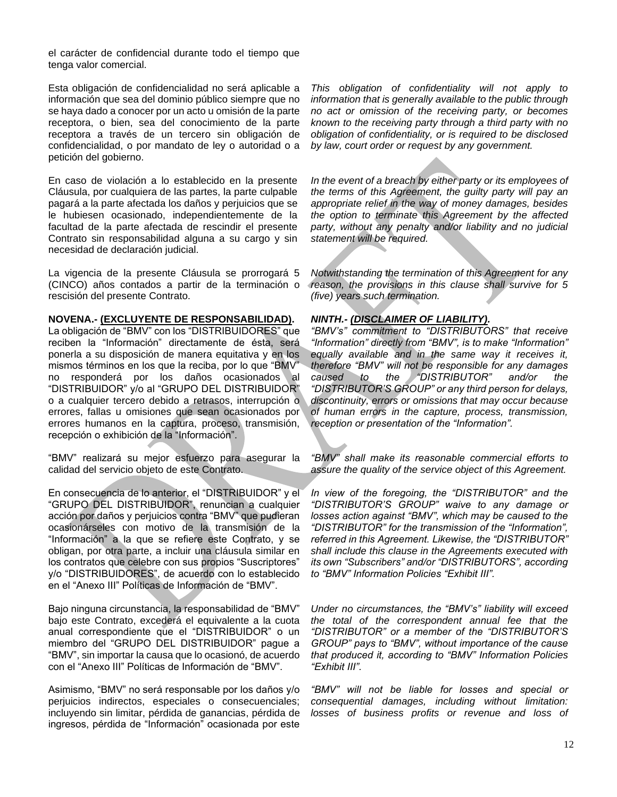el carácter de confidencial durante todo el tiempo que tenga valor comercial.

Esta obligación de confidencialidad no será aplicable a información que sea del dominio público siempre que no se haya dado a conocer por un acto u omisión de la parte receptora, o bien, sea del conocimiento de la parte receptora a través de un tercero sin obligación de confidencialidad, o por mandato de ley o autoridad o a petición del gobierno.

En caso de violación a lo establecido en la presente Cláusula, por cualquiera de las partes, la parte culpable pagará a la parte afectada los daños y perjuicios que se le hubiesen ocasionado, independientemente de la facultad de la parte afectada de rescindir el presente Contrato sin responsabilidad alguna a su cargo y sin necesidad de declaración judicial.

La vigencia de la presente Cláusula se prorrogará 5 (CINCO) años contados a partir de la terminación o rescisión del presente Contrato.

### **NOVENA.- (EXCLUYENTE DE RESPONSABILIDAD).**

La obligación de "BMV" con los "DISTRIBUIDORES" que reciben la "Información" directamente de ésta, será ponerla a su disposición de manera equitativa y en los mismos términos en los que la reciba, por lo que "BMV" no responderá por los daños ocasionados al "DISTRIBUIDOR" y/o al "GRUPO DEL DISTRIBUIDOR" o a cualquier tercero debido a retrasos, interrupción o errores, fallas u omisiones que sean ocasionados por errores humanos en la captura, proceso, transmisión, recepción o exhibición de la "Información".

"BMV" realizará su mejor esfuerzo para asegurar la calidad del servicio objeto de este Contrato.

En consecuencia de lo anterior, el "DISTRIBUIDOR" y el "GRUPO DEL DISTRIBUIDOR", renuncian a cualquier acción por daños y perjuicios contra "BMV" que pudieran ocasionárseles con motivo de la transmisión de la "Información" a la que se refiere este Contrato, y se obligan, por otra parte, a incluir una cláusula similar en los contratos que celebre con sus propios "Suscriptores" y/o "DISTRIBUIDORES", de acuerdo con lo establecido en el "Anexo III" Políticas de Información de "BMV".

Bajo ninguna circunstancia, la responsabilidad de "BMV" bajo este Contrato, excederá el equivalente a la cuota anual correspondiente que el "DISTRIBUIDOR" o un miembro del "GRUPO DEL DISTRIBUIDOR" pague a "BMV", sin importar la causa que lo ocasionó, de acuerdo con el "Anexo III" Políticas de Información de "BMV".

Asimismo, "BMV" no será responsable por los daños y/o perjuicios indirectos, especiales o consecuenciales; incluyendo sin limitar, pérdida de ganancias, pérdida de ingresos, pérdida de "Información" ocasionada por este

*This obligation of confidentiality will not apply to information that is generally available to the public through no act or omission of the receiving party, or becomes known to the receiving party through a third party with no obligation of confidentiality, or is required to be disclosed by law, court order or request by any government.*

*In the event of a breach by either party or its employees of the terms of this Agreement, the guilty party will pay an appropriate relief in the way of money damages, besides the option to terminate this Agreement by the affected party, without any penalty and/or liability and no judicial statement will be required.*

*Notwithstanding the termination of this Agreement for any reason, the provisions in this clause shall survive for 5 (five) years such termination.*

## *NINTH.- (DISCLAIMER OF LIABILITY).*

*"BMV's" commitment to "DISTRIBUTORS" that receive "Information" directly from "BMV", is to make "Information" equally available and in the same way it receives it, therefore "BMV" will not be responsible for any damages caused to the "DISTRIBUTOR" and/or the "DISTRIBUTOR'S GROUP" or any third person for delays, discontinuity, errors or omissions that may occur because of human errors in the capture, process, transmission, reception or presentation of the "Information".*

*"BMV" shall make its reasonable commercial efforts to assure the quality of the service object of this Agreement.*

*In view of the foregoing, the "DISTRIBUTOR" and the "DISTRIBUTOR'S GROUP" waive to any damage or losses action against "BMV", which may be caused to the "DISTRIBUTOR" for the transmission of the "Information", referred in this Agreement. Likewise, the "DISTRIBUTOR" shall include this clause in the Agreements executed with its own "Subscribers" and/or "DISTRIBUTORS", according to "BMV" Information Policies "Exhibit III".*

*Under no circumstances, the "BMV's" liability will exceed the total of the correspondent annual fee that the "DISTRIBUTOR" or a member of the "DISTRIBUTOR'S GROUP" pays to "BMV", without importance of the cause that produced it, according to "BMV" Information Policies "Exhibit III".* 

*"BMV" will not be liable for losses and special or consequential damages, including without limitation: losses of business profits or revenue and loss of*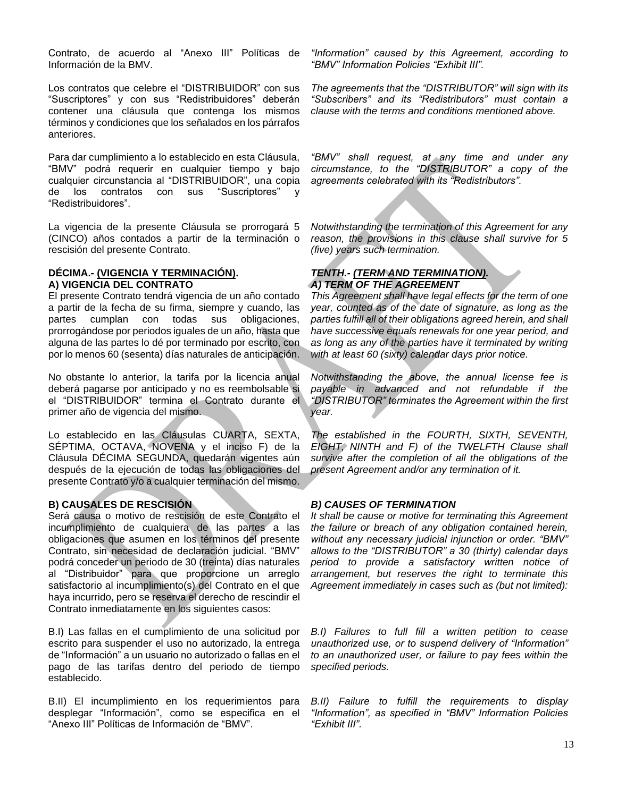Contrato, de acuerdo al "Anexo III" Políticas de Información de la BMV.

Los contratos que celebre el "DISTRIBUIDOR" con sus "Suscriptores" y con sus "Redistribuidores" deberán contener una cláusula que contenga los mismos términos y condiciones que los señalados en los párrafos anteriores.

Para dar cumplimiento a lo establecido en esta Cláusula, "BMV" podrá requerir en cualquier tiempo y bajo cualquier circunstancia al "DISTRIBUIDOR", una copia de los contratos con sus "Suscriptores" y "Redistribuidores".

La vigencia de la presente Cláusula se prorrogará 5 (CINCO) años contados a partir de la terminación o rescisión del presente Contrato.

# **DÉCIMA.- (VIGENCIA Y TERMINACIÓN). A) VIGENCIA DEL CONTRATO**

El presente Contrato tendrá vigencia de un año contado a partir de la fecha de su firma, siempre y cuando, las partes cumplan con todas sus obligaciones, prorrogándose por periodos iguales de un año, hasta que alguna de las partes lo dé por terminado por escrito, con por lo menos 60 (sesenta) días naturales de anticipación.

No obstante lo anterior, la tarifa por la licencia anual deberá pagarse por anticipado y no es reembolsable si el "DISTRIBUIDOR" termina el Contrato durante el primer año de vigencia del mismo.

Lo establecido en las Cláusulas CUARTA, SEXTA, SÉPTIMA, OCTAVA, NOVENA y el inciso F) de la Cláusula DÉCIMA SEGUNDA, quedarán vigentes aún después de la ejecución de todas las obligaciones del presente Contrato y/o a cualquier terminación del mismo.

# **B) CAUSALES DE RESCISIÓN**

Será causa o motivo de rescisión de este Contrato el incumplimiento de cualquiera de las partes a las obligaciones que asumen en los términos del presente Contrato, sin necesidad de declaración judicial. "BMV" podrá conceder un periodo de 30 (treinta) días naturales al "Distribuidor" para que proporcione un arreglo satisfactorio al incumplimiento(s) del Contrato en el que haya incurrido, pero se reserva el derecho de rescindir el Contrato inmediatamente en los siguientes casos:

B.I) Las fallas en el cumplimiento de una solicitud por escrito para suspender el uso no autorizado, la entrega de "Información" a un usuario no autorizado o fallas en el pago de las tarifas dentro del periodo de tiempo establecido.

B.II) El incumplimiento en los requerimientos para desplegar "Información", como se especifica en el "Anexo III" Políticas de Información de "BMV".

*"Information" caused by this Agreement, according to "BMV" Information Policies "Exhibit III".*

*The agreements that the "DISTRIBUTOR" will sign with its "Subscribers" and its "Redistributors" must contain a clause with the terms and conditions mentioned above.*

*"BMV" shall request, at any time and under any circumstance, to the "DISTRIBUTOR" a copy of the agreements celebrated with its "Redistributors".*

*Notwithstanding the termination of this Agreement for any reason, the provisions in this clause shall survive for 5 (five) years such termination.*

# *TENTH.- (TERM AND TERMINATION). A) TERM OF THE AGREEMENT*

*This Agreement shall have legal effects for the term of one year, counted as of the date of signature, as long as the parties fulfill all of their obligations agreed herein, and shall have successive equals renewals for one year period, and as long as any of the parties have it terminated by writing with at least 60 (sixty) calendar days prior notice.*

*Notwithstanding the above, the annual license fee is payable in advanced and not refundable if the "DISTRIBUTOR" terminates the Agreement within the first year.*

*The established in the FOURTH, SIXTH, SEVENTH, EIGHT, NINTH and F) of the TWELFTH Clause shall survive after the completion of all the obligations of the present Agreement and/or any termination of it.*

# *B) CAUSES OF TERMINATION*

*It shall be cause or motive for terminating this Agreement the failure or breach of any obligation contained herein, without any necessary judicial injunction or order. "BMV" allows to the "DISTRIBUTOR" a 30 (thirty) calendar days period to provide a satisfactory written notice of arrangement, but reserves the right to terminate this Agreement immediately in cases such as (but not limited):* 

*B.I) Failures to full fill a written petition to cease unauthorized use, or to suspend delivery of "Information" to an unauthorized user, or failure to pay fees within the specified periods.*

*B.II) Failure to fulfill the requirements to display "Information", as specified in "BMV" Information Policies "Exhibit III".*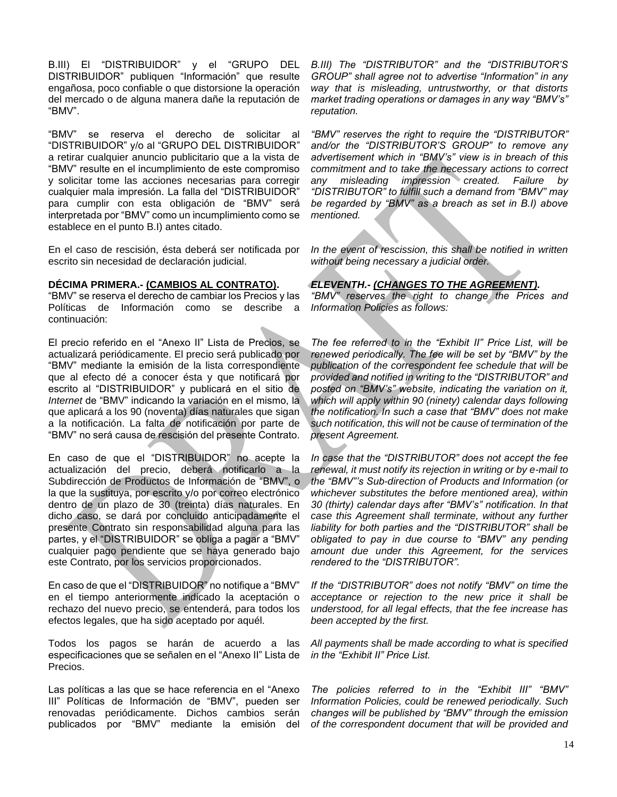B.III) El "DISTRIBUIDOR" y el "GRUPO DEL DISTRIBUIDOR" publiquen "Información" que resulte engañosa, poco confiable o que distorsione la operación del mercado o de alguna manera dañe la reputación de "BMV".

"BMV" se reserva el derecho de solicitar al "DISTRIBUIDOR" y/o al "GRUPO DEL DISTRIBUIDOR" a retirar cualquier anuncio publicitario que a la vista de "BMV" resulte en el incumplimiento de este compromiso y solicitar tome las acciones necesarias para corregir cualquier mala impresión. La falla del "DISTRIBUIDOR" para cumplir con esta obligación de "BMV" será interpretada por "BMV" como un incumplimiento como se establece en el punto B.I) antes citado.

En el caso de rescisión, ésta deberá ser notificada por escrito sin necesidad de declaración judicial.

## **DÉCIMA PRIMERA.- (CAMBIOS AL CONTRATO).**

"BMV" se reserva el derecho de cambiar los Precios y las Políticas de Información como se describe a continuación:

El precio referido en el "Anexo II" Lista de Precios, se actualizará periódicamente. El precio será publicado por "BMV" mediante la emisión de la lista correspondiente que al efecto dé a conocer ésta y que notificará por escrito al "DISTRIBUIDOR" y publicará en el sitio de *Internet* de "BMV" indicando la variación en el mismo, la que aplicará a los 90 (noventa) días naturales que sigan a la notificación. La falta de notificación por parte de "BMV" no será causa de rescisión del presente Contrato.

En caso de que el "DISTRIBUIDOR" no acepte la actualización del precio, deberá notificarlo a la Subdirección de Productos de Información de "BMV", o la que la sustituya, por escrito y/o por correo electrónico dentro de un plazo de 30 (treinta) días naturales. En dicho caso, se dará por concluido anticipadamente el presente Contrato sin responsabilidad alguna para las partes, y el "DISTRIBUIDOR" se obliga a pagar a "BMV" cualquier pago pendiente que se haya generado bajo este Contrato, por los servicios proporcionados.

En caso de que el "DISTRIBUIDOR" no notifique a "BMV" en el tiempo anteriormente indicado la aceptación o rechazo del nuevo precio, se entenderá, para todos los efectos legales, que ha sido aceptado por aquél.

Todos los pagos se harán de acuerdo a las especificaciones que se señalen en el "Anexo II" Lista de Precios.

Las políticas a las que se hace referencia en el "Anexo III" Políticas de Información de "BMV", pueden ser renovadas periódicamente. Dichos cambios serán publicados por "BMV" mediante la emisión del *B.III) The "DISTRIBUTOR" and the "DISTRIBUTOR'S GROUP" shall agree not to advertise "Information" in any way that is misleading, untrustworthy, or that distorts market trading operations or damages in any way "BMV's" reputation.* 

*"BMV" reserves the right to require the "DISTRIBUTOR" and/or the "DISTRIBUTOR'S GROUP" to remove any advertisement which in "BMV's" view is in breach of this commitment and to take the necessary actions to correct any misleading impression created. Failure by "DISTRIBUTOR" to fulfill such a demand from "BMV" may be regarded by "BMV" as a breach as set in B.I) above mentioned.*

*In the event of rescission, this shall be notified in written without being necessary a judicial order.*

# *ELEVENTH.- (CHANGES TO THE AGREEMENT).*

*"BMV" reserves the right to change the Prices and Information Policies as follows:*

*The fee referred to in the "Exhibit II" Price List, will be renewed periodically. The fee will be set by "BMV" by the publication of the correspondent fee schedule that will be provided and notified in writing to the "DISTRIBUTOR" and posted on "BMV's" website, indicating the variation on it, which will apply within 90 (ninety) calendar days following the notification. In such a case that "BMV" does not make such notification, this will not be cause of termination of the present Agreement.*

*In case that the "DISTRIBUTOR" does not accept the fee renewal, it must notify its rejection in writing or by e-mail to the "BMV"'s Sub-direction of Products and Information (or whichever substitutes the before mentioned area), within 30 (thirty) calendar days after "BMV's" notification. In that case this Agreement shall terminate, without any further liability for both parties and the "DISTRIBUTOR" shall be obligated to pay in due course to "BMV" any pending amount due under this Agreement, for the services rendered to the "DISTRIBUTOR".*

*If the "DISTRIBUTOR" does not notify "BMV" on time the acceptance or rejection to the new price it shall be understood, for all legal effects, that the fee increase has been accepted by the first.*

*All payments shall be made according to what is specified in the "Exhibit II" Price List.*

*The policies referred to in the "Exhibit III" "BMV" Information Policies, could be renewed periodically. Such changes will be published by "BMV" through the emission of the correspondent document that will be provided and*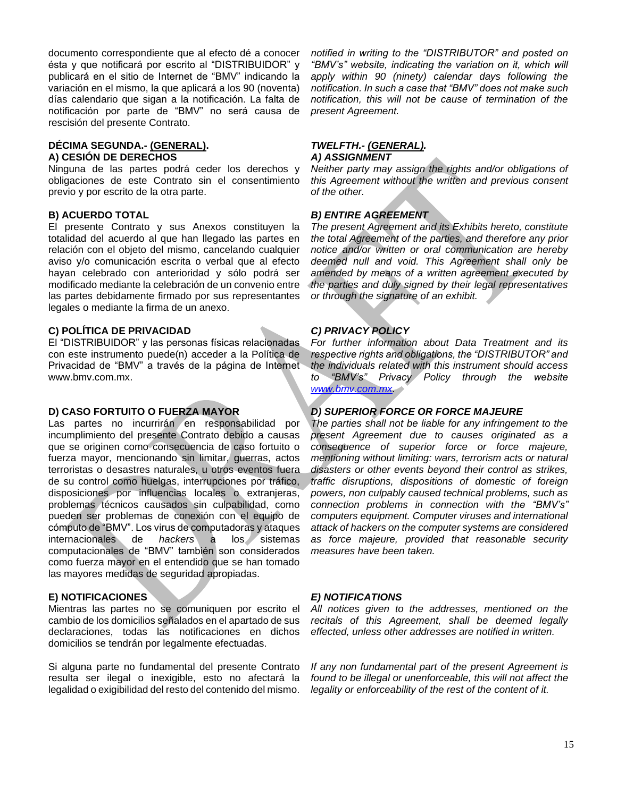documento correspondiente que al efecto dé a conocer ésta y que notificará por escrito al "DISTRIBUIDOR" y publicará en el sitio de Internet de "BMV" indicando la variación en el mismo, la que aplicará a los 90 (noventa) días calendario que sigan a la notificación. La falta de notificación por parte de "BMV" no será causa de rescisión del presente Contrato.

## **DÉCIMA SEGUNDA.- (GENERAL). A) CESIÓN DE DERECHOS**

Ninguna de las partes podrá ceder los derechos y obligaciones de este Contrato sin el consentimiento previo y por escrito de la otra parte.

# **B) ACUERDO TOTAL**

El presente Contrato y sus Anexos constituyen la totalidad del acuerdo al que han llegado las partes en relación con el objeto del mismo, cancelando cualquier aviso y/o comunicación escrita o verbal que al efecto hayan celebrado con anterioridad y sólo podrá ser modificado mediante la celebración de un convenio entre las partes debidamente firmado por sus representantes legales o mediante la firma de un anexo.

## **C) POLÍTICA DE PRIVACIDAD**

El "DISTRIBUIDOR" y las personas físicas relacionadas con este instrumento puede(n) acceder a la Política de Privacidad de "BMV" a través de la página de Internet [www.bmv.com.mx.](http://www.bmv.com.mx/)

# **D) CASO FORTUITO O FUERZA MAYOR**

Las partes no incurrirán en responsabilidad por incumplimiento del presente Contrato debido a causas que se originen como consecuencia de caso fortuito o fuerza mayor, mencionando sin limitar, guerras, actos terroristas o desastres naturales, u otros eventos fuera de su control como huelgas, interrupciones por tráfico, disposiciones por influencias locales o extranjeras, problemas técnicos causados sin culpabilidad, como pueden ser problemas de conexión con el equipo de cómputo de "BMV". Los virus de computadoras y ataques internacionales de *hackers* a los sistemas computacionales de "BMV" también son considerados como fuerza mayor en el entendido que se han tomado las mayores medidas de seguridad apropiadas.

# **E) NOTIFICACIONES**

Mientras las partes no se comuniquen por escrito el cambio de los domicilios señalados en el apartado de sus declaraciones, todas las notificaciones en dichos domicilios se tendrán por legalmente efectuadas.

Si alguna parte no fundamental del presente Contrato resulta ser ilegal o inexigible, esto no afectará la legalidad o exigibilidad del resto del contenido del mismo.

*notified in writing to the "DISTRIBUTOR" and posted on "BMV's" website, indicating the variation on it, which will apply within 90 (ninety) calendar days following the notification. In such a case that "BMV" does not make such notification, this will not be cause of termination of the present Agreement.*

#### *TWELFTH.- (GENERAL). A) ASSIGNMENT*

*Neither party may assign the rights and/or obligations of this Agreement without the written and previous consent of the other.* 

# *B) ENTIRE AGREEMENT*

*The present Agreement and its Exhibits hereto, constitute the total Agreement of the parties, and therefore any prior notice and/or written or oral communication are hereby deemed null and void. This Agreement shall only be amended by means of a written agreement executed by the parties and duly signed by their legal representatives or through the signature of an exhibit.*

# *C) PRIVACY POLICY*

*For further information about Data Treatment and its respective rights and obligations, the "DISTRIBUTOR" and the individuals related with this instrument should access to "BMV's" Privacy Policy through the website [www.bmv.com.mx.](http://www.bmv.com.mx/)* 

# *D) SUPERIOR FORCE OR FORCE MAJEURE*

*The parties shall not be liable for any infringement to the present Agreement due to causes originated as a consequence of superior force or force majeure, mentioning without limiting: wars, terrorism acts or natural disasters or other events beyond their control as strikes, traffic disruptions, dispositions of domestic of foreign powers, non culpably caused technical problems, such as connection problems in connection with the "BMV's" computers equipment. Computer viruses and international attack of hackers on the computer systems are considered as force majeure, provided that reasonable security measures have been taken.*

## *E) NOTIFICATIONS*

*All notices given to the addresses, mentioned on the recitals of this Agreement, shall be deemed legally effected, unless other addresses are notified in written.*

*If any non fundamental part of the present Agreement is found to be illegal or unenforceable, this will not affect the legality or enforceability of the rest of the content of it.*